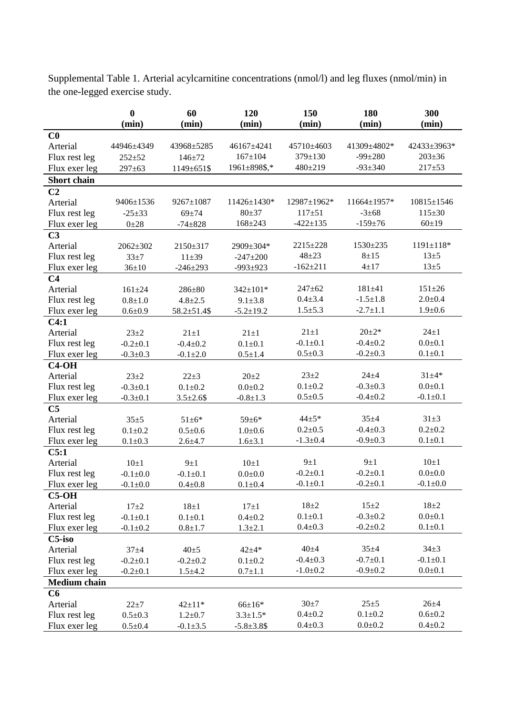|                     | $\bf{0}$<br>(min) | 60<br>(min)        | 120<br>(min)      | 150<br>(min)   | 180<br>(min)   | 300<br>(min)     |
|---------------------|-------------------|--------------------|-------------------|----------------|----------------|------------------|
| C <sub>0</sub>      |                   |                    |                   |                |                |                  |
| Arterial            | 44946±4349        | 43968±5285         | 46167±4241        | 45710±4603     | 41309±4802*    | 42433±3963*      |
| Flux rest leg       | $252 + 52$        | $146 + 72$         | $167 + 104$       | 379±130        | $-99 \pm 280$  | $203 \pm 36$     |
| Flux exer leg       | $297 \pm 63$      | 1149±651\$         | 1961±898\$,*      | $480 \pm 219$  | $-93 \pm 340$  | $217 + 53$       |
| <b>Short chain</b>  |                   |                    |                   |                |                |                  |
| C <sub>2</sub>      |                   |                    |                   |                |                |                  |
| Arterial            | 9406±1536         | 9267±1087          | 11426±1430*       | 12987±1962*    | 11664±1957*    | $10815 \pm 1546$ |
| Flux rest leg       | $-25+33$          | $69 + 74$          | $80 + 37$         | $117 + 51$     | $-3+68$        | $115 \pm 30$     |
| Flux exer leg       | $0 \pm 28$        | $-74+828$          | $168 + 243$       | $-422 \pm 135$ | $-159 + 76$    | 60±19            |
| C <sub>3</sub>      |                   |                    |                   |                |                |                  |
| Arterial            | $2062 + 302$      | 2150±317           | 2909±304*         | 2215±228       | 1530±235       | $1191 \pm 118*$  |
| Flux rest leg       | $33 + 7$          | $11 + 39$          | $-247 \pm 200$    | $48 + 23$      | $8 + 15$       | $13\pm5$         |
| Flux exer leg       | $36 \pm 10$       | $-246 \pm 293$     | $-993+923$        | $-162 \pm 211$ | $4 + 17$       | $13\pm 5$        |
| C <sub>4</sub>      |                   |                    |                   |                |                |                  |
| Arterial            | $161 + 24$        | 286±80             | 342±101*          | $247 + 62$     | $181 + 41$     | $151 \pm 26$     |
| Flux rest leg       | $0.8 + 1.0$       | $4.8 \pm 2.5$      | $9.1 \pm 3.8$     | $0.4 + 3.4$    | $-1.5 \pm 1.8$ | $2.0 + 0.4$      |
| Flux exer leg       | $0.6 + 0.9$       | $58.2 \pm 51.4$ \$ | $-5.2 \pm 19.2$   | $1.5 + 5.3$    | $-2.7 \pm 1.1$ | $1.9 + 0.6$      |
| C4:1                |                   |                    |                   |                |                |                  |
| Arterial            | $23 + 2$          | $21 \pm 1$         | $21 \pm 1$        | $21 \pm 1$     | $20+2*$        | $24 \pm 1$       |
| Flux rest leg       | $-0.2 + 0.1$      | $-0.4 \pm 0.2$     | $0.1 \pm 0.1$     | $-0.1 + 0.1$   | $-0.4 \pm 0.2$ | $0.0 + 0.1$      |
| Flux exer leg       | $-0.3 \pm 0.3$    | $-0.1 \pm 2.0$     | $0.5 \pm 1.4$     | $0.5 \pm 0.3$  | $-0.2 \pm 0.3$ | $0.1 \pm 0.1$    |
| $C4-OH$             |                   |                    |                   |                |                |                  |
| Arterial            | $23 + 2$          | $22 + 3$           | $20 + 2$          | $23 + 2$       | $24 + 4$       | $31 + 4*$        |
| Flux rest leg       | $-0.3 \pm 0.1$    | $0.1 + 0.2$        | $0.0 + 0.2$       | $0.1 + 0.2$    | $-0.3 \pm 0.3$ | $0.0 + 0.1$      |
| Flux exer leg       | $-0.3 \pm 0.1$    | $3.5 \pm 2.6$ \$   | $-0.8 \pm 1.3$    | $0.5 \pm 0.5$  | $-0.4 \pm 0.2$ | $-0.1 \pm 0.1$   |
| C <sub>5</sub>      |                   |                    |                   |                |                |                  |
| Arterial            | $35 + 5$          | $51 \pm 6*$        | $59 \pm 6*$       | $44 + 5*$      | $35 + 4$       | $31\pm3$         |
| Flux rest leg       | $0.1 + 0.2$       | $0.5 + 0.6$        | $1.0 + 0.6$       | $0.2 \pm 0.5$  | $-0.4 \pm 0.3$ | $0.2 \pm 0.2$    |
| Flux exer leg       | $0.1 \pm 0.3$     | $2.6 + 4.7$        | $1.6 + 3.1$       | $-1.3 \pm 0.4$ | $-0.9 + 0.3$   | $0.1 + 0.1$      |
| C5:1                |                   |                    |                   |                |                |                  |
| Arterial            | $10\pm1$          | $9\pm1$            | $10\pm1$          | $9\pm1$        | $9\pm1$        | $10\pm1$         |
| Flux rest leg       | $-0.1 + 0.0$      | $-0.1 + 0.1$       | $0.0 + 0.0$       | $-0.2+0.1$     | $-0.2+0.1$     | $0.0 + 0.0$      |
| Flux exer leg       | $-0.1 \pm 0.0$    | $0.4 \pm 0.8$      | $0.1 \pm 0.4$     | $-0.1 \pm 0.1$ | $-0.2 \pm 0.1$ | $-0.1 \pm 0.0$   |
| $C5-OH$             |                   |                    |                   |                |                |                  |
| Arterial            | $17\pm2$          | $18\pm1$           | $17\pm1$          | $18\pm2$       | $15 \pm 2$     | $18\pm2$         |
| Flux rest leg       | $-0.1 \pm 0.1$    | $0.1 \pm 0.1$      | $0.4 + 0.2$       | $0.1 + 0.1$    | $-0.3 \pm 0.2$ | $0.0 + 0.1$      |
| Flux exer leg       | $-0.1 \pm 0.2$    | $0.8 + 1.7$        | $1.3 + 2.1$       | $0.4 \pm 0.3$  | $-0.2+0.2$     | $0.1 \pm 0.1$    |
| $C5$ -iso           |                   |                    |                   |                |                |                  |
| Arterial            | $37 + 4$          | $40\pm5$           | $42 + 4*$         | $40\pm4$       | $35 + 4$       | $34 \pm 3$       |
| Flux rest leg       | $-0.2 \pm 0.1$    | $-0.2+0.2$         | $0.1 + 0.2$       | $-0.4 \pm 0.3$ | $-0.7+0.1$     | $-0.1 \pm 0.1$   |
| Flux exer leg       | $-0.2 \pm 0.1$    | $1.5 + 4.2$        | $0.7 \pm 1.1$     | $-1.0+0.2$     | $-0.9 + 0.2$   | $0.0 + 0.1$      |
| <b>Medium chain</b> |                   |                    |                   |                |                |                  |
| C6                  |                   |                    |                   |                |                |                  |
| Arterial            | $22 + 7$          | $42 \pm 11*$       | $66{\pm}16*$      | $30\pm7$       | $25 \pm 5$     | $26 + 4$         |
| Flux rest leg       | $0.5 \pm 0.3$     | $1.2 \pm 0.7$      | $3.3 \pm 1.5*$    | $0.4 + 0.2$    | $0.1 \pm 0.2$  | $0.6 + 0.2$      |
| Flux exer leg       | $0.5 \pm 0.4$     | $-0.1 \pm 3.5$     | $-5.8 \pm 3.8$ \$ | $0.4 \pm 0.3$  | $0.0 + 0.2$    | $0.4 \pm 0.2$    |

Supplemental Table 1. Arterial acylcarnitine concentrations (nmol/l) and leg fluxes (nmol/min) in the one-legged exercise study.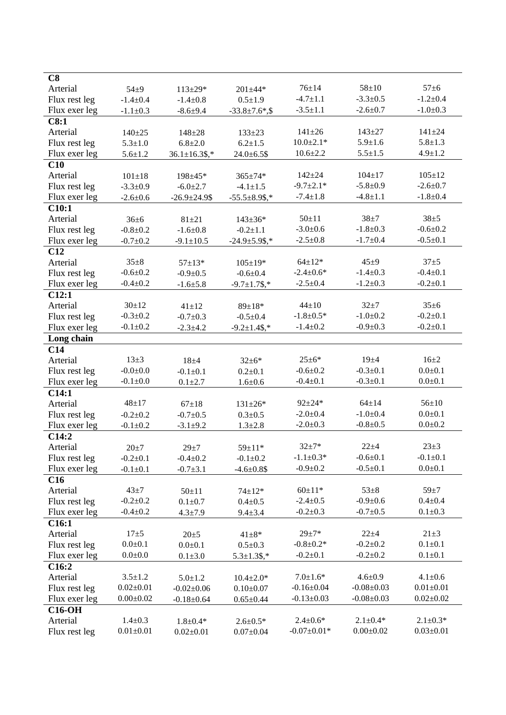| C8                |                                  |                      |                      |                                  |                  |                 |
|-------------------|----------------------------------|----------------------|----------------------|----------------------------------|------------------|-----------------|
| Arterial          | $54 + 9$                         | $113 \pm 29*$        | $201 \pm 44*$        | $76 \pm 14$                      | $58 + 10$        | $57 + 6$        |
| Flux rest leg     | $-1.4 \pm 0.4$                   | $-1.4 \pm 0.8$       | $0.5 \pm 1.9$        | $-4.7 \pm 1.1$                   | $-3.3 \pm 0.5$   | $-1.2 \pm 0.4$  |
| Flux exer leg     | $-1.1 \pm 0.3$                   | $-8.6 + 9.4$         | $-33.8 \pm 7.6$ *,\$ | $-3.5 \pm 1.1$                   | $-2.6 \pm 0.7$   | $-1.0 \pm 0.3$  |
| C8:1              |                                  |                      |                      |                                  |                  |                 |
| Arterial          | $140 + 25$                       | $148 + 28$           | $133 \pm 23$         | $141 \pm 26$                     | $143 + 27$       | $141 \pm 24$    |
| Flux rest leg     | $5.3 \pm 1.0$                    | $6.8 + 2.0$          | $6.2 \pm 1.5$        | $10.0 \pm 2.1*$                  | $5.9 \pm 1.6$    | $5.8 + 1.3$     |
| Flux exer leg     | $5.6 \pm 1.2$                    | $36.1 \pm 16.3$ \$,* | $24.0 \pm 6.5$ \$    | $10.6 \pm 2.2$                   | $5.5 \pm 1.5$    | $4.9 \pm 1.2$   |
| C10               |                                  |                      |                      |                                  |                  |                 |
| Arterial          | $101 \pm 18$                     | 198±45*              | $365 \pm 74*$        | $142 + 24$                       | $104 \pm 17$     | $105 \pm 12$    |
| Flux rest leg     | $-3.3 \pm 0.9$                   | $-6.0 \pm 2.7$       | $-4.1 \pm 1.5$       | $-9.7 \pm 2.1*$                  | $-5.8 \pm 0.9$   | $-2.6 \pm 0.7$  |
| Flux exer leg     | $-2.6 \pm 0.6$                   | $-26.9 \pm 24.9$ \$  | $-55.5 \pm 8.9$ \$,* | $-7.4 \pm 1.8$                   | $-4.8 \pm 1.1$   | $-1.8 + 0.4$    |
| C10:1             |                                  |                      |                      |                                  |                  |                 |
| Arterial          | $36 \pm 6$                       | $81 + 21$            | $143 \pm 36*$        | $50 \pm 11$                      | $38 + 7$         | $38 + 5$        |
| Flux rest leg     | $-0.8 + 0.2$                     | $-1.6 \pm 0.8$       | $-0.2 + 1.1$         | $-3.0+0.6$                       | $-1.8 + 0.3$     | $-0.6 \pm 0.2$  |
| Flux exer leg     | $-0.7 \pm 0.2$                   | $-9.1 \pm 10.5$      | $-24.9 \pm 5.9$ \$,* | $-2.5 \pm 0.8$                   | $-1.7 \pm 0.4$   | $-0.5 \pm 0.1$  |
| C12               |                                  |                      |                      |                                  |                  |                 |
| Arterial          | $35 \pm 8$                       | $57 \pm 13*$         | $105 \pm 19*$        | $64 \pm 12*$                     | $45\pm9$         | $37 + 5$        |
| Flux rest leg     | $-0.6 + 0.2$                     | $-0.9 + 0.5$         | $-0.6 + 0.4$         | $-2.4 \pm 0.6*$                  | $-1.4 \pm 0.3$   | $-0.4 \pm 0.1$  |
| Flux exer leg     | $-0.4 \pm 0.2$                   | $-1.6{\pm}5.8$       | $-9.7 \pm 1.7$ \$,*  | $-2.5 \pm 0.4$                   | $-1.2 \pm 0.3$   | $-0.2 \pm 0.1$  |
| C12:1             |                                  |                      |                      |                                  |                  |                 |
| Arterial          | $30 + 12$                        | $41 \pm 12$          | $89 \pm 18*$         | $44 + 10$                        | $32 + 7$         | $35 \pm 6$      |
| Flux rest leg     | $-0.3 \pm 0.2$                   | $-0.7+0.3$           | $-0.5+0.4$           | $-1.8 \pm 0.5*$                  | $-1.0 + 0.2$     | $-0.2+0.1$      |
| Flux exer leg     | $-0.1 \pm 0.2$                   | $-2.3 \pm 4.2$       | $-9.2 \pm 1.4$ \$,*  | $-1.4 \pm 0.2$                   | $-0.9 \pm 0.3$   | $-0.2 \pm 0.1$  |
| Long chain        |                                  |                      |                      |                                  |                  |                 |
| C14               |                                  |                      |                      |                                  |                  |                 |
| Arterial          | $13+3$                           | $18 + 4$             | $32 \pm 6*$          | $25 \pm 6*$                      | $19\pm4$         | $16 + 2$        |
| Flux rest leg     | $-0.0 + 0.0$                     | $-0.1 + 0.1$         | $0.2 \pm 0.1$        | $-0.6 \pm 0.2$                   | $-0.3 \pm 0.1$   | $0.0 + 0.1$     |
| Flux exer leg     | $-0.1 \pm 0.0$                   | $0.1 + 2.7$          | $1.6 + 0.6$          | $-0.4 \pm 0.1$                   | $-0.3 \pm 0.1$   | $0.0 + 0.1$     |
| C14:1             |                                  |                      |                      |                                  |                  |                 |
| Arterial          | $48 + 17$                        | $67 + 18$            | $131 \pm 26*$        | $92 + 24*$                       | $64 \pm 14$      | $56 \pm 10$     |
| Flux rest leg     | $-0.2+0.2$                       | $-0.7 + 0.5$         | $0.3 \pm 0.5$        | $-2.0 \pm 0.4$                   | $-1.0+0.4$       | $0.0 + 0.1$     |
| Flux exer leg     | $-0.1 \pm 0.2$                   | $-3.1 \pm 9.2$       | $1.3 \pm 2.8$        | $-2.0 \pm 0.3$                   | $-0.8 + 0.5$     | $0.0 + 0.2$     |
| C14:2             |                                  |                      |                      |                                  |                  |                 |
| Arterial          | $20 + 7$                         | $29 + 7$             | 59±11*               | $32 + 7*$                        | $22 + 4$         | $23 \pm 3$      |
| Flux rest leg     |                                  |                      |                      | $-1.1 \pm 0.3*$                  | $-0.6 + 0.1$     | $-0.1 \pm 0.1$  |
| Flux exer leg     | $-0.2 \pm 0.1$                   | $-0.4 \pm 0.2$       | $-0.1 \pm 0.2$       | $-0.9 \pm 0.2$                   | $-0.5 \pm 0.1$   | $0.0 + 0.1$     |
|                   | $-0.1 \pm 0.1$                   | $-0.7 + 3.1$         | $-4.6 \pm 0.8$ \$    |                                  |                  |                 |
| C16               | $43\pm7$                         |                      |                      | $60 \pm 11*$                     | $53 \pm 8$       | $59 \pm 7$      |
| Arterial          |                                  | $50 \pm 11$          | $74 \pm 12*$         |                                  | $-0.9 + 0.6$     | $0.4 + 0.4$     |
| Flux rest leg     | $-0.2 \pm 0.2$<br>$-0.4 \pm 0.2$ | $0.1 + 0.7$          | $0.4 \pm 0.5$        | $-2.4 \pm 0.5$<br>$-0.2 \pm 0.3$ | $-0.7 \pm 0.5$   | $0.1 \pm 0.3$   |
| Flux exer leg     |                                  | $4.3 \pm 7.9$        | $9.4 \pm 3.4$        |                                  |                  |                 |
| C <sub>16:1</sub> |                                  |                      |                      |                                  |                  |                 |
| Arterial          | $17 + 5$                         | $20 \pm 5$           | $41 \pm 8*$          | $29 + 7*$                        | $22 + 4$         | $21 \pm 3$      |
| Flux rest leg     | $0.0 + 0.1$                      | $0.0 + 0.1$          | $0.5 \pm 0.3$        | $-0.8 \pm 0.2*$                  | $-0.2+0.2$       | $0.1 \pm 0.1$   |
| Flux exer leg     | $0.0 + 0.0$                      | $0.1 + 3.0$          | $5.3 \pm 1.3$ \$,*   | $-0.2 \pm 0.1$                   | $-0.2+0.2$       | $0.1 \pm 0.1$   |
| C16:2             |                                  |                      |                      |                                  |                  |                 |
| Arterial          | $3.5 \pm 1.2$                    | $5.0 \pm 1.2$        | $10.4 \pm 2.0*$      | $7.0 \pm 1.6*$                   | $4.6 \pm 0.9$    | $4.1 \pm 0.6$   |
| Flux rest leg     | $0.02 \pm 0.01$                  | $-0.02 \pm 0.06$     | $0.10 \pm 0.07$      | $-0.16 \pm 0.04$                 | $-0.08 \pm 0.03$ | $0.01 \pm 0.01$ |
| Flux exer leg     | $0.00 \pm 0.02$                  | $-0.18 \pm 0.64$     | $0.65 \pm 0.44$      | $-0.13 \pm 0.03$                 | $-0.08 \pm 0.03$ | $0.02 \pm 0.02$ |
| <b>C16-OH</b>     |                                  |                      |                      |                                  |                  |                 |
| Arterial          | $1.4 \pm 0.3$                    | $1.8 \pm 0.4*$       | $2.6 \pm 0.5*$       | $2.4 \pm 0.6*$                   | $2.1 \pm 0.4*$   | $2.1 \pm 0.3*$  |
| Flux rest leg     | $0.01 \pm 0.01$                  | $0.02 \pm 0.01$      | $0.07 \pm 0.04$      | $-0.07 \pm 0.01*$                | $0.00 \pm 0.02$  | $0.03 \pm 0.01$ |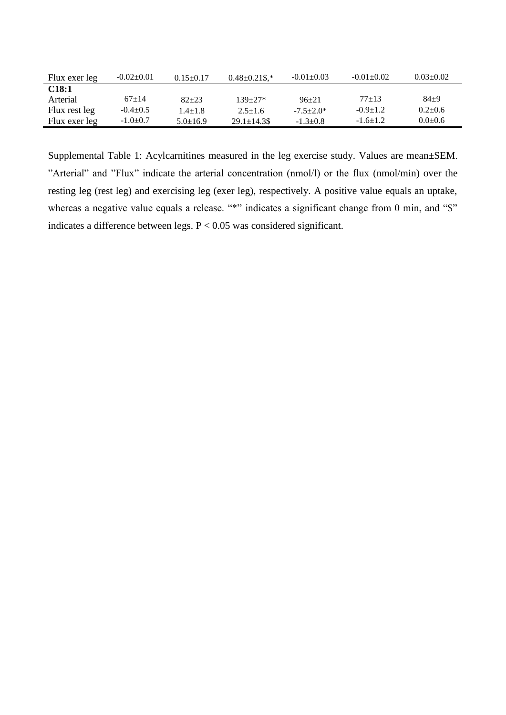| Flux exer leg | $-0.02 \pm 0.01$ | $0.15 \pm 0.17$ | $0.48 \pm 0.21$ \$.* | $-0.01 + 0.03$ | $-0.01 + 0.02$ | $0.03 \pm 0.02$ |
|---------------|------------------|-----------------|----------------------|----------------|----------------|-----------------|
| C18:1         |                  |                 |                      |                |                |                 |
| Arterial      | $67+14$          | $82 + 23$       | $139 + 27*$          | $96+21$        | $77+13$        | $84+9$          |
| Flux rest leg | $-0.4\pm0.5$     | $1.4 + 1.8$     | $2.5 + 1.6$          | $-7.5+2.0*$    | $-0.9 \pm 1.2$ | $0.2+0.6$       |
| Flux exer leg | $-1.0+0.7$       | $5.0 \pm 16.9$  | $29.1 \pm 14.3$ \$   | $-1.3+0.8$     | $-1.6 \pm 1.2$ | $0.0+0.6$       |

Supplemental Table 1: Acylcarnitines measured in the leg exercise study. Values are mean±SEM. "Arterial" and "Flux" indicate the arterial concentration (nmol/l) or the flux (nmol/min) over the resting leg (rest leg) and exercising leg (exer leg), respectively. A positive value equals an uptake, whereas a negative value equals a release. "\*" indicates a significant change from 0 min, and "\$" indicates a difference between legs. P < 0.05 was considered significant.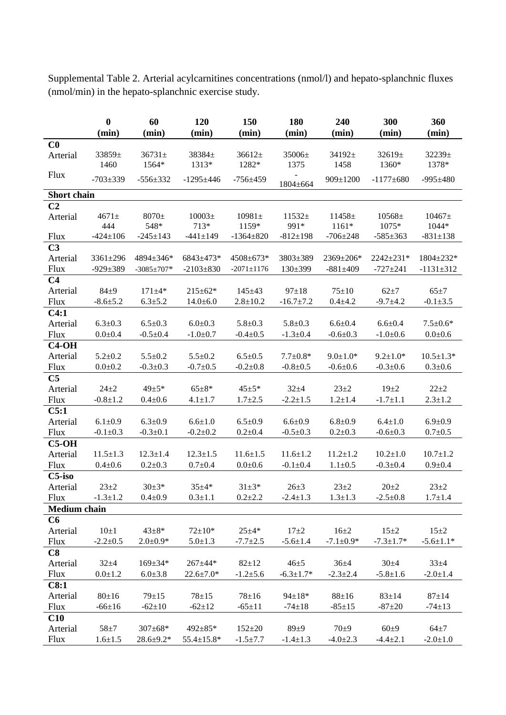**0 60 120 150 180 240 300 360 (min) (min) (min) (min) (min) (min) (min) (min) C0** Arterial 33859± 1460  $36731+$ 1564\* 38384± 1313\* 36612± 1282\* 35006± 1375 34192± 1458 32619± 1360\* 32239± 1378\* Flux  $-703\pm339$   $-556\pm332$   $-1295\pm446$   $-756\pm459$   $1804\pm664$ 909±1200 -1177±680 -995±480 **Short chain C2** Arterial 4671± 444 8070± 548\* 10003± 713\* 10981± 1159\* 11532± 991\* 11458± 1161\* 10568± 1075\* 10467± 1044\* Flux -424±106 -245±143 -441±149 -1364±820 -812±198 -706±248 -585±363 -831±138 **C3** Arterial 3361±296 4894±346\* 6843±473\* 4508±673\* 3803±389 2369±206\* 2242±231\* 1804±232\* Flux -929±389 -3085±707\* -2103±830 -2071±1176 130±399 -881±409 -727±241 -1131±312 **C4** Arterial 84±9 171±4\* 215±62\* 145±43 97±18 75±10 62±7 65±7 Flux  $-8.6\pm5.2$   $6.3\pm5.2$   $14.0\pm6.0$   $2.8\pm10.2$   $-16.7\pm7.2$   $0.4\pm4.2$   $-9.7\pm4.2$   $-0.1\pm3.5$ **C4:1** Arterial 6.3±0.3 6.5±0.3 6.0±0.3 5.8±0.3 5.8±0.3 6.6±0.4 6.6±0.4 7.5±0.6\* Flux  $0.0\pm0.4$   $-0.5\pm0.4$   $-1.0\pm0.7$   $-0.4\pm0.5$   $-1.3\pm0.4$   $-0.6\pm0.3$   $-1.0\pm0.6$   $0.0\pm0.6$ **C4-OH** Arterial 5.2±0.2 5.5±0.2 5.5±0.2 6.5±0.5 7.7±0.8\*  $9.0\pm1.0^*$   $9.2\pm1.0^*$   $10.5\pm1.3^*$ Flux  $0.0\pm0.2$   $-0.3\pm0.3$   $-0.7\pm0.5$   $-0.2\pm0.8$   $-0.8\pm0.5$   $-0.6\pm0.6$   $-0.3\pm0.6$   $0.3\pm0.6$ **C5** Arterial 24±2 49±5\* 65±8\* 45±5\* 32±4 23±2 19±2 22±2 Flux  $-0.8\pm1.2$   $0.4\pm0.6$   $4.1\pm1.7$   $1.7\pm2.5$   $-2.2\pm1.5$   $1.2\pm1.4$   $-1.7\pm1.1$   $2.3\pm1.2$ **C5:1** Arterial 6.1±0.9 6.3±0.9 6.6±1.0 6.5±0.9 6.6±0.9 6.8±0.9 6.4±1.0 6.9±0.9 Flux  $-0.1 \pm 0.3$   $-0.3 \pm 0.1$   $-0.2 \pm 0.2$   $0.2 \pm 0.4$   $-0.5 \pm 0.3$   $0.2 \pm 0.3$   $-0.6 \pm 0.3$   $0.7 \pm 0.5$ **C5-OH** Arterial 11.5±1.3 12.3±1.4 12.3±1.5 11.6±1.5 11.6±1.2 11.2±1.2 10.2±1.0 10.7±1.2 Flux  $0.4\pm0.6$   $0.2\pm0.3$   $0.7\pm0.4$   $0.0\pm0.6$   $-0.1\pm0.4$   $1.1\pm0.5$   $-0.3\pm0.4$   $0.9\pm0.4$ **C5-iso** Arterial  $23\pm2$   $30\pm3$ \*  $35\pm4$ \*  $31\pm3$ \*  $26\pm3$   $23\pm2$   $20\pm2$   $23\pm2$ Flux  $-1.3\pm1.2$   $0.4\pm0.9$   $0.3\pm1.1$   $0.2\pm2.2$   $-2.4\pm1.3$   $1.3\pm1.3$   $-2.5\pm0.8$   $1.7\pm1.4$ **Medium chain C6** Arterial  $10\pm1$   $43\pm8$ \*  $72\pm10$ \*  $25\pm4$ \*  $17\pm2$   $16\pm2$   $15\pm2$   $15\pm2$ Flux  $-2.2\pm0.5$   $2.0\pm0.9*$   $5.0\pm1.3$   $-7.7\pm2.5$   $-5.6\pm1.4$   $-7.1\pm0.9*$   $-7.3\pm1.7*$   $-5.6\pm1.1*$ **C8** Arterial 32±4 169±34\* 267±44\* 82±12 46±5 36±4 30±4 33±4 Flux  $0.0\pm1.2$   $6.0\pm3.8$   $22.6\pm7.0^*$   $-1.2\pm5.6$   $-6.3\pm1.7^*$   $-2.3\pm2.4$   $-5.8\pm1.6$   $-2.0\pm1.4$ **C8:1** Arterial 80±16 79±15 78±15 78±16 94±18\* 88±16 83±14 87±14 Flux  $-66\pm16$   $-62\pm10$   $-62\pm12$   $-65\pm11$   $-74\pm18$   $-85\pm15$   $-87\pm20$   $-74\pm13$ **C10** Arterial 58±7 307±68\* 492±85\* 152±20 89±9 70±9 60±9 64±7 Flux  $1.6\pm1.5$   $28.6\pm9.2*$   $55.4\pm15.8*$   $-1.5\pm7.7$   $-1.4\pm1.3$   $-4.0\pm2.3$   $-4.4\pm2.1$   $-2.0\pm1.0$ 

Supplemental Table 2. Arterial acylcarnitines concentrations (nmol/l) and hepato-splanchnic fluxes (nmol/min) in the hepato-splanchnic exercise study.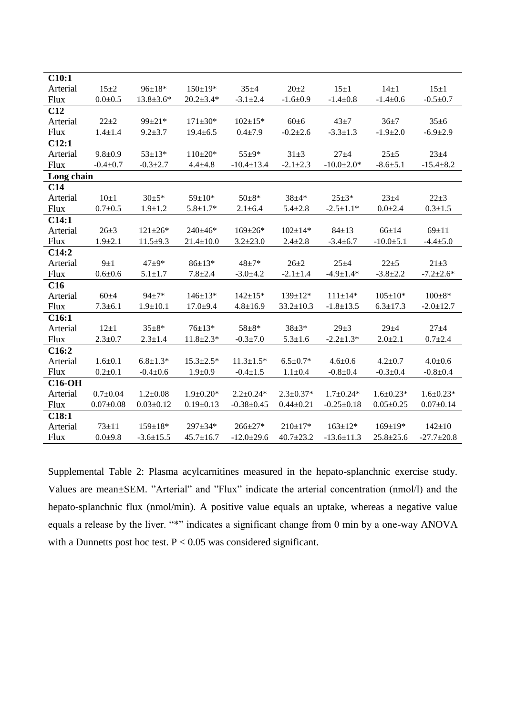| C10:1       |                |                 |                 |                  |                 |                  |                 |                  |
|-------------|----------------|-----------------|-----------------|------------------|-----------------|------------------|-----------------|------------------|
| Arterial    | $15 + 2$       | $96 \pm 18*$    | $150 \pm 19*$   | $35 + 4$         | $20 \pm 2$      | $15 \pm 1$       | $14\pm1$        | $15 + 1$         |
| Flux        | $0.0 + 0.5$    | $13.8 \pm 3.6*$ | $20.2 \pm 3.4*$ | $-3.1 \pm 2.4$   | $-1.6 \pm 0.9$  | $-1.4 \pm 0.8$   | $-1.4 \pm 0.6$  | $-0.5 \pm 0.7$   |
| C12         |                |                 |                 |                  |                 |                  |                 |                  |
| Arterial    | $22 + 2$       | $99 \pm 21*$    | $171 \pm 30*$   | $102+15*$        | $60 \pm 6$      | $43 + 7$         | $36+7$          | $35 \pm 6$       |
| <b>Flux</b> | $1.4 \pm 1.4$  | $9.2 \pm 3.7$   | $19.4 \pm 6.5$  | $0.4 + 7.9$      | $-0.2{\pm}2.6$  | $-3.3 \pm 1.3$   | $-1.9 \pm 2.0$  | $-6.9 \pm 2.9$   |
| C12:1       |                |                 |                 |                  |                 |                  |                 |                  |
| Arterial    | $9.8 + 0.9$    | $53 \pm 13*$    | $110\pm 20*$    | $55 + 9*$        | $31 + 3$        | $27 + 4$         | $25 + 5$        | $23 + 4$         |
| Flux        | $-0.4 \pm 0.7$ | $-0.3 \pm 2.7$  | $4.4 + 4.8$     | $-10.4 \pm 13.4$ | $-2.1 \pm 2.3$  | $-10.0 \pm 2.0*$ | $-8.6 + 5.1$    | $-15.4 \pm 8.2$  |
| Long chain  |                |                 |                 |                  |                 |                  |                 |                  |
| C14         |                |                 |                 |                  |                 |                  |                 |                  |
| Arterial    | $10\pm1$       | $30+5*$         | $59 \pm 10*$    | $50+8*$          | $38 + 4*$       | $25 + 3*$        | $23 + 4$        | $22 + 3$         |
| <b>Flux</b> | $0.7 + 0.5$    | $1.9 \pm 1.2$   | $5.8 \pm 1.7*$  | $2.1 \pm 6.4$    | $5.4 \pm 2.8$   | $-2.5 \pm 1.1*$  | $0.0 \pm 2.4$   | $0.3 + 1.5$      |
| C14:1       |                |                 |                 |                  |                 |                  |                 |                  |
| Arterial    | $26 + 3$       | $121 \pm 26*$   | $240+46*$       | $169 \pm 26*$    | $102+14*$       | $84 \pm 13$      | $66 \pm 14$     | $69 \pm 11$      |
| <b>Flux</b> | $1.9 \pm 2.1$  | $11.5 \pm 9.3$  | $21.4 \pm 10.0$ | $3.2 \pm 23.0$   | $2.4 \pm 2.8$   | $-3.4 \pm 6.7$   | $-10.0 + 5.1$   | $-4.4 \pm 5.0$   |
| C14:2       |                |                 |                 |                  |                 |                  |                 |                  |
| Arterial    | $9\pm1$        | $47 + 9*$       | $86 \pm 13*$    | $48 + 7*$        | $26 + 2$        | $25 + 4$         | $22 + 5$        | $21 \pm 3$       |
| Flux        | $0.6 + 0.6$    | $5.1 \pm 1.7$   | $7.8 + 2.4$     | $-3.0+4.2$       | $-2.1 \pm 1.4$  | $-4.9 \pm 1.4*$  | $-3.8 \pm 2.2$  | $-7.2 \pm 2.6*$  |
| C16         |                |                 |                 |                  |                 |                  |                 |                  |
| Arterial    | $60+4$         | $94 + 7*$       | $146+13*$       | $142+15*$        | $139+12*$       | $111 \pm 14*$    | $105+10*$       | $100\pm8*$       |
| <b>Flux</b> | $7.3 \pm 6.1$  | $1.9 \pm 10.1$  | $17.0 + 9.4$    | $4.8 \pm 16.9$   | $33.2 \pm 10.3$ | $-1.8 \pm 13.5$  | $6.3 \pm 17.3$  | $-2.0 \pm 12.7$  |
| C16:1       |                |                 |                 |                  |                 |                  |                 |                  |
| Arterial    | $12\pm1$       | $35 \pm 8*$     | $76 \pm 13*$    | $58 + 8*$        | $38+3*$         | $29 \pm 3$       | $29 + 4$        | $27 + 4$         |
| Flux        | $2.3 \pm 0.7$  | $2.3 \pm 1.4$   | $11.8 \pm 2.3*$ | $-0.3 + 7.0$     | $5.3 \pm 1.6$   | $-2.2 \pm 1.3*$  | $2.0 \pm 2.1$   | $0.7 + 2.4$      |
| C16:2       |                |                 |                 |                  |                 |                  |                 |                  |
| Arterial    | $1.6 \pm 0.1$  | $6.8 \pm 1.3*$  | $15.3 \pm 2.5*$ | $11.3 \pm 1.5*$  | $6.5+0.7*$      | $4.6 \pm 0.6$    | $4.2 \pm 0.7$   | $4.0 \pm 0.6$    |
| <b>Flux</b> | $0.2 \pm 0.1$  | $-0.4 \pm 0.6$  | $1.9 \pm 0.9$   | $-0.4 \pm 1.5$   | $1.1 \pm 0.4$   | $-0.8+0.4$       | $-0.3 \pm 0.4$  | $-0.8 + 0.4$     |
| $C16-OH$    |                |                 |                 |                  |                 |                  |                 |                  |
| Arterial    | $0.7 \pm 0.04$ | $1.2 \pm 0.08$  | $1.9+0.20*$     | $2.2+0.24*$      | $2.3+0.37*$     | $1.7+0.24*$      | $1.6 \pm 0.23*$ | $1.6 \pm 0.23*$  |
| Flux        | $0.07+0.08$    | $0.03 \pm 0.12$ | $0.19 \pm 0.13$ | $-0.38 + 0.45$   | $0.44 \pm 0.21$ | $-0.25 \pm 0.18$ | $0.05 \pm 0.25$ | $0.07 \pm 0.14$  |
| C18:1       |                |                 |                 |                  |                 |                  |                 |                  |
| Arterial    | $73 + 11$      | $159 \pm 18*$   | $297 \pm 34*$   | $266 \pm 27*$    | $210 \pm 17*$   | $163+12*$        | $169 \pm 19*$   | $142 \pm 10$     |
| Flux        | $0.0 + 9.8$    | $-3.6 \pm 15.5$ | $45.7 \pm 16.7$ | $-12.0 \pm 29.6$ | $40.7 \pm 23.2$ | $-13.6 \pm 11.3$ | $25.8 \pm 25.6$ | $-27.7 \pm 20.8$ |

Supplemental Table 2: Plasma acylcarnitines measured in the hepato-splanchnic exercise study. Values are mean±SEM. "Arterial" and "Flux" indicate the arterial concentration (nmol/l) and the hepato-splanchnic flux (nmol/min). A positive value equals an uptake, whereas a negative value equals a release by the liver. "\*" indicates a significant change from 0 min by a one-way ANOVA with a Dunnetts post hoc test. P < 0.05 was considered significant.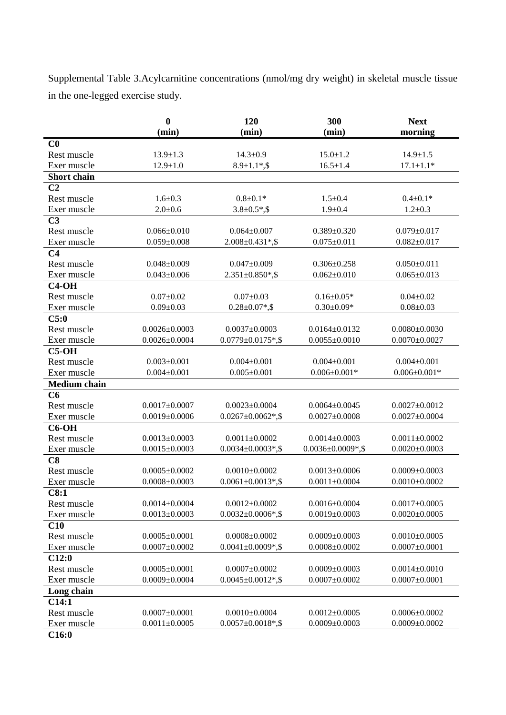Supplemental Table 3.Acylcarnitine concentrations (nmol/mg dry weight) in skeletal muscle tissue in the one-legged exercise study.

|                     | $\bf{0}$            | 120                      | 300                      | <b>Next</b>         |
|---------------------|---------------------|--------------------------|--------------------------|---------------------|
|                     | (min)               | (min)                    | (min)                    | morning             |
| C <sub>0</sub>      |                     |                          |                          |                     |
| Rest muscle         | $13.9 \pm 1.3$      | $14.3 \pm 0.9$           | $15.0 \pm 1.2$           | $14.9 \pm 1.5$      |
| Exer muscle         | $12.9 \pm 1.0$      | $8.9 \pm 1.1$ *,\$       | $16.5 \pm 1.4$           | $17.1 \pm 1.1*$     |
| <b>Short</b> chain  |                     |                          |                          |                     |
| C <sub>2</sub>      |                     |                          |                          |                     |
| Rest muscle         | $1.6 + 0.3$         | $0.8 + 0.1*$             | $1.5 \pm 0.4$            | $0.4 \pm 0.1*$      |
| Exer muscle         | $2.0 + 0.6$         | $3.8 \pm 0.5$ *,\$       | $1.9 + 0.4$              | $1.2 \pm 0.3$       |
| C <sub>3</sub>      |                     |                          |                          |                     |
| Rest muscle         | $0.066 \pm 0.010$   | $0.064 \pm 0.007$        | $0.389 \pm 0.320$        | $0.079 \pm 0.017$   |
| Exer muscle         | $0.059 \pm 0.008$   | $2.008 \pm 0.431$ *,\$   | $0.075 \pm 0.011$        | $0.082 \pm 0.017$   |
| C <sub>4</sub>      |                     |                          |                          |                     |
| Rest muscle         | $0.048 \pm 0.009$   | $0.047 \pm 0.009$        | $0.306 \pm 0.258$        | $0.050 \pm 0.011$   |
| Exer muscle         | $0.043 \pm 0.006$   | $2.351 \pm 0.850$ *,\$   | $0.062 \pm 0.010$        | $0.065 \pm 0.013$   |
| $C4-OH$             |                     |                          |                          |                     |
| Rest muscle         | $0.07 \pm 0.02$     | $0.07 \pm 0.03$          | $0.16 \pm 0.05*$         | $0.04 \pm 0.02$     |
| Exer muscle         | $0.09 \pm 0.03$     | $0.28 \pm 0.07$ *,\$     | $0.30 \pm 0.09*$         | $0.08 \pm 0.03$     |
| C5:0                |                     |                          |                          |                     |
| Rest muscle         | $0.0026 \pm 0.0003$ | $0.0037 \pm 0.0003$      | $0.0164 \pm 0.0132$      | $0.0080 \pm 0.0030$ |
| Exer muscle         | $0.0026 \pm 0.0004$ | $0.0779 \pm 0.0175$ *,\$ | $0.0055 \pm 0.0010$      | $0.0070 \pm 0.0027$ |
| $C5-OH$             |                     |                          |                          |                     |
| Rest muscle         | $0.003 \pm 0.001$   | $0.004 \pm 0.001$        | $0.004 \pm 0.001$        | $0.004 \pm 0.001$   |
| Exer muscle         | $0.004 \pm 0.001$   | $0.005 \pm 0.001$        | $0.006 \pm 0.001*$       | $0.006 \pm 0.001*$  |
| <b>Medium</b> chain |                     |                          |                          |                     |
| C6                  |                     |                          |                          |                     |
| Rest muscle         | $0.0017 \pm 0.0007$ | $0.0023 \pm 0.0004$      | $0.0064 \pm 0.0045$      | $0.0027 \pm 0.0012$ |
| Exer muscle         | $0.0019 \pm 0.0006$ | $0.0267 \pm 0.0062$ *,\$ | $0.0027 \pm 0.0008$      | $0.0027 \pm 0.0004$ |
| $C6-OH$             |                     |                          |                          |                     |
| Rest muscle         | $0.0013 \pm 0.0003$ | $0.0011 \pm 0.0002$      | $0.0014 \pm 0.0003$      | $0.0011 \pm 0.0002$ |
| Exer muscle         | $0.0015 \pm 0.0003$ | $0.0034 \pm 0.0003$ *,\$ | $0.0036 \pm 0.0009$ *,\$ | $0.0020 \pm 0.0003$ |
| C8                  |                     |                          |                          |                     |
| Rest muscle         | $0.0005 \pm 0.0002$ | $0.0010\pm0.0002$        | $0.0013 \pm 0.0006$      | $0.0009 \pm 0.0003$ |
| Exer muscle         | $0.0008 \pm 0.0003$ | $0.0061 \pm 0.0013$ *,\$ | $0.0011 \pm 0.0004$      | $0.0010\pm0.0002$   |
| C8:1                |                     |                          |                          |                     |
| Rest muscle         | $0.0014 \pm 0.0004$ | $0.0012 \pm 0.0002$      | $0.0016 \pm 0.0004$      | $0.0017 \pm 0.0005$ |
| Exer muscle         | $0.0013 \pm 0.0003$ | $0.0032 \pm 0.0006$ *,\$ | $0.0019 \pm 0.0003$      | $0.0020 \pm 0.0005$ |
| C10                 |                     |                          |                          |                     |
| Rest muscle         | $0.0005 \pm 0.0001$ | $0.0008 \pm 0.0002$      | $0.0009 \pm 0.0003$      | $0.0010\pm0.0005$   |
| Exer muscle         | $0.0007 \pm 0.0002$ | $0.0041 \pm 0.0009$ *,\$ | $0.0008 \pm 0.0002$      | $0.0007 \pm 0.0001$ |
| C12:0               |                     |                          |                          |                     |
| Rest muscle         | $0.0005 \pm 0.0001$ | $0.0007 \pm 0.0002$      | $0.0009 \pm 0.0003$      | $0.0014 \pm 0.0010$ |
| Exer muscle         | $0.0009 \pm 0.0004$ | $0.0045 \pm 0.0012$ *,\$ | $0.0007 \pm 0.0002$      | $0.0007 \pm 0.0001$ |
| Long chain          |                     |                          |                          |                     |
| C14:1               |                     |                          |                          |                     |
| Rest muscle         | $0.0007 \pm 0.0001$ | $0.0010\pm0.0004$        | $0.0012 \pm 0.0005$      | $0.0006 \pm 0.0002$ |
| Exer muscle         | $0.0011 \pm 0.0005$ | $0.0057 \pm 0.0018$ *,\$ | $0.0009 \pm 0.0003$      | $0.0009 \pm 0.0002$ |
|                     |                     |                          |                          |                     |

**C16:0**